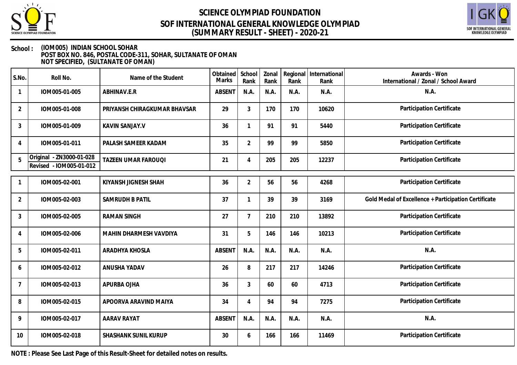



#### **School : (IOM005) INDIAN SCHOOL SOHAR POST BOX NO. 846, POSTAL CODE-311, SOHAR, SULTANATE OF OMAN NOT SPECIFIED, (SULTANATE OF OMAN)**

| S.No.          | Roll No.                                            | Name of the Student          | Obtained<br><b>Marks</b> | School<br>Rank | Zonal<br>Rank | Rank | Regional International<br>Rank | Awards - Won<br>International / Zonal / School Award |
|----------------|-----------------------------------------------------|------------------------------|--------------------------|----------------|---------------|------|--------------------------------|------------------------------------------------------|
|                | IOM005-01-005                                       | ABHINAV.E.R                  | <b>ABSENT</b>            | N.A.           | N.A.          | N.A. | N.A.                           | N.A.                                                 |
| $\overline{2}$ | IOM005-01-008                                       | PRIYANSH CHIRAGKUMAR BHAVSAR | 29                       | $\mathfrak{Z}$ | 170           | 170  | 10620                          | Participation Certificate                            |
| $\mathfrak{Z}$ | IOM005-01-009                                       | <b>KAVIN SANJAY.V</b>        | 36                       | $\mathbf{1}$   | 91            | 91   | 5440                           | Participation Certificate                            |
| 4              | IOM005-01-011                                       | PALASH SAMEER KADAM          | 35                       | $\overline{2}$ | 99            | 99   | 5850                           | Participation Certificate                            |
| 5              | Original - ZN3000-01-028<br>Revised - IOM005-01-012 | TAZEEN UMAR FAROUQI          | 21                       | $\overline{4}$ | 205           | 205  | 12237                          | Participation Certificate                            |
|                | IOM005-02-001                                       | KIYANSH JIGNESH SHAH         | 36                       | $\overline{2}$ | 56            | 56   | 4268                           | Participation Certificate                            |
| $\overline{2}$ | IOM005-02-003                                       | <b>SAMRUDH B PATIL</b>       | 37                       | $\mathbf{1}$   | 39            | 39   | 3169                           | Gold Medal of Excellence + Participation Certificate |
| $\sqrt{3}$     | IOM005-02-005                                       | <b>RAMAN SINGH</b>           | 27                       | $\overline{7}$ | 210           | 210  | 13892                          | Participation Certificate                            |
| 4              | IOM005-02-006                                       | MAHIN DHARMESH VAVDIYA       | 31                       | 5              | 146           | 146  | 10213                          | Participation Certificate                            |
| 5              | IOM005-02-011                                       | ARADHYA KHOSLA               | <b>ABSENT</b>            | N.A.           | N.A.          | N.A. | N.A.                           | N.A.                                                 |
| 6              | IOM005-02-012                                       | ANUSHA YADAV                 | 26                       | 8              | 217           | 217  | 14246                          | Participation Certificate                            |
| $\overline{7}$ | IOM005-02-013                                       | APURBA OJHA                  | 36                       | $\mathfrak{Z}$ | 60            | 60   | 4713                           | Participation Certificate                            |
| 8              | IOM005-02-015                                       | APOORVA ARAVIND MAIYA        | 34                       | $\overline{4}$ | 94            | 94   | 7275                           | Participation Certificate                            |
| 9              | IOM005-02-017                                       | <b>AARAV RAYAT</b>           | <b>ABSENT</b>            | N.A.           | N.A.          | N.A. | N.A.                           | N.A.                                                 |
| 10             | IOM005-02-018                                       | SHASHANK SUNIL KURUP         | 30                       | 6              | 166           | 166  | 11469                          | Participation Certificate                            |

**NOTE : Please See Last Page of this Result-Sheet for detailed notes on results.**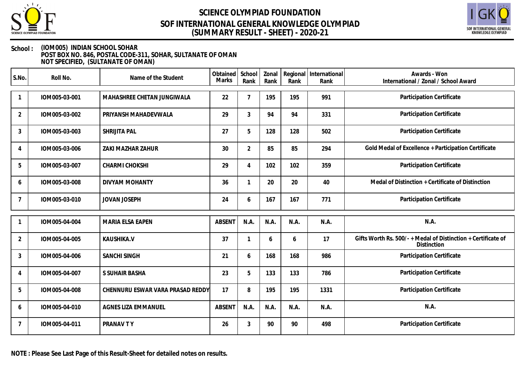



### **School : (IOM005) INDIAN SCHOOL SOHAR POST BOX NO. 846, POSTAL CODE-311, SOHAR, SULTANATE OF OMAN**

**NOT SPECIFIED, (SULTANATE OF OMAN)**

| S.No.          | Roll No.      | Name of the Student              | Obtained School<br><b>Marks</b> | Rank           | Zonal<br>Rank | Rank | Regional International<br>Rank | Awards - Won<br>International / Zonal / School Award                                |
|----------------|---------------|----------------------------------|---------------------------------|----------------|---------------|------|--------------------------------|-------------------------------------------------------------------------------------|
|                | IOM005-03-001 | MAHASHREE CHETAN JUNGIWALA       | 22                              | 7              | 195           | 195  | 991                            | Participation Certificate                                                           |
| $\overline{2}$ | IOM005-03-002 | PRIYANSH MAHADEVWALA             | 29                              | $\mathfrak{Z}$ | 94            | 94   | 331                            | Participation Certificate                                                           |
| 3              | IOM005-03-003 | SHRIJITA PAL                     | 27                              | 5              | 128           | 128  | 502                            | Participation Certificate                                                           |
| 4              | IOM005-03-006 | ZAKI MAZHAR ZAHUR                | 30                              | $\overline{2}$ | 85            | 85   | 294                            | Gold Medal of Excellence + Participation Certificate                                |
| 5              | IOM005-03-007 | CHARMI CHOKSHI                   | 29                              | 4              | 102           | 102  | 359                            | Participation Certificate                                                           |
| 6              | IOM005-03-008 | <b>DIVYAM MOHANTY</b>            | 36                              |                | 20            | 20   | 40                             | Medal of Distinction + Certificate of Distinction                                   |
| $\overline{7}$ | IOM005-03-010 | <b>JOVAN JOSEPH</b>              | 24                              | 6              | 167           | 167  | 771                            | Participation Certificate                                                           |
|                |               |                                  |                                 |                |               |      |                                |                                                                                     |
|                | IOM005-04-004 | MARIA ELSA EAPEN                 | <b>ABSENT</b>                   | N.A.           | N.A.          | N.A. | N.A.                           | N.A.                                                                                |
| $\overline{2}$ | IOM005-04-005 | KAUSHIKA.V                       | 37                              |                | 6             | 6    | 17                             | Gifts Worth Rs. 500/- + Medal of Distinction + Certificate of<br><b>Distinction</b> |
| 3              | IOM005-04-006 | <b>SANCHI SINGH</b>              | 21                              | 6              | 168           | 168  | 986                            | Participation Certificate                                                           |
| 4              | IOM005-04-007 | S SUHAIR BASHA                   | 23                              | 5              | 133           | 133  | 786                            | Participation Certificate                                                           |
| 5              | IOM005-04-008 | CHENNURU ESWAR VARA PRASAD REDDY | 17                              | 8              | 195           | 195  | 1331                           | Participation Certificate                                                           |
| 6              | IOM005-04-010 | <b>AGNES LIZA EMMANUEL</b>       | <b>ABSENT</b>                   | N.A.           | N.A.          | N.A. | N.A.                           | N.A.                                                                                |
| $\overline{7}$ | IOM005-04-011 | PRANAV TY                        | 26                              | 3              | 90            | 90   | 498                            | Participation Certificate                                                           |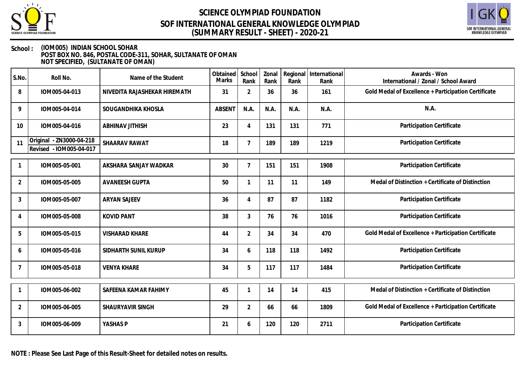



#### **School : (IOM005) INDIAN SCHOOL SOHAR POST BOX NO. 846, POSTAL CODE-311, SOHAR, SULTANATE OF OMAN NOT SPECIFIED, (SULTANATE OF OMAN)**

| S.No.          | Roll No.                                            | Name of the Student          | Obtained<br><b>Marks</b> | School<br>Rank | Zonal<br>Rank | Regional<br>Rank | International<br>Rank | Awards - Won<br>International / Zonal / School Award |
|----------------|-----------------------------------------------------|------------------------------|--------------------------|----------------|---------------|------------------|-----------------------|------------------------------------------------------|
| 8              | IOM005-04-013                                       | NIVEDITA RAJASHEKAR HIREMATH | 31                       | $\overline{2}$ | 36            | 36               | 161                   | Gold Medal of Excellence + Participation Certificate |
| 9              | IOM005-04-014                                       | SOUGANDHIKA KHOSLA           | <b>ABSENT</b>            | N.A.           | N.A.          | N.A.             | N.A.                  | N.A.                                                 |
| 10             | IOM005-04-016                                       | <b>ABHINAV JITHISH</b>       | 23                       | 4              | 131           | 131              | 771                   | Participation Certificate                            |
| 11             | Original - ZN3000-04-218<br>Revised - IOM005-04-017 | SHAARAV RAWAT                | 18                       | $\overline{7}$ | 189           | 189              | 1219                  | Participation Certificate                            |
|                | IOM005-05-001                                       | AKSHARA SANJAY WADKAR        | 30                       | $\overline{7}$ | 151           | 151              | 1908                  | Participation Certificate                            |
| $\overline{2}$ | IOM005-05-005                                       | <b>AVANEESH GUPTA</b>        | 50                       |                | 11            | 11               | 149                   | Medal of Distinction + Certificate of Distinction    |
| 3              | IOM005-05-007                                       | <b>ARYAN SAJEEV</b>          | 36                       | 4              | 87            | 87               | 1182                  | Participation Certificate                            |
| 4              | IOM005-05-008                                       | <b>KOVID PANT</b>            | 38                       | 3              | 76            | 76               | 1016                  | Participation Certificate                            |
| 5              | IOM005-05-015                                       | <b>VISHARAD KHARE</b>        | 44                       | $\overline{2}$ | 34            | 34               | 470                   | Gold Medal of Excellence + Participation Certificate |
| 6              | IOM005-05-016                                       | SIDHARTH SUNIL KURUP         | 34                       | 6              | 118           | 118              | 1492                  | Participation Certificate                            |
| 7              | IOM005-05-018                                       | <b>VENYA KHARE</b>           | 34                       | 5              | 117           | 117              | 1484                  | Participation Certificate                            |
|                | IOM005-06-002                                       | SAFEENA KAMAR FAHIMY         | 45                       |                | 14            | 14               | 415                   | Medal of Distinction + Certificate of Distinction    |
| 2              | IOM005-06-005                                       | SHAURYAVIR SINGH             | 29                       | $\overline{2}$ | 66            | 66               | 1809                  | Gold Medal of Excellence + Participation Certificate |
| $\mathbf{3}$   | IOM005-06-009                                       | YASHAS P                     | 21                       | 6              | 120           | 120              | 2711                  | Participation Certificate                            |

**NOTE : Please See Last Page of this Result-Sheet for detailed notes on results.**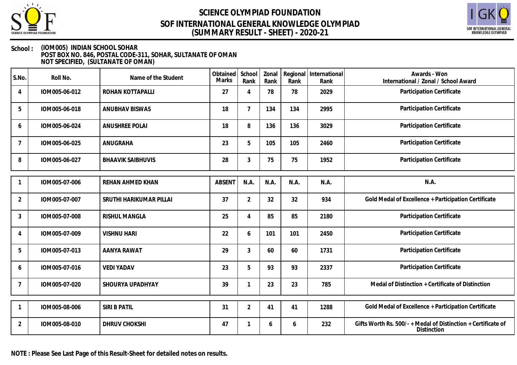



#### **School : (IOM005) INDIAN SCHOOL SOHAR POST BOX NO. 846, POSTAL CODE-311, SOHAR, SULTANATE OF OMAN NOT SPECIFIED, (SULTANATE OF OMAN)**

| S.No.           | Roll No.      | Name of the Student      | Obtained<br>Marks | School<br>Rank            | Zonal<br>Rank | Rank | Regional   International<br>Rank | Awards - Won<br>International / Zonal / School Award                         |
|-----------------|---------------|--------------------------|-------------------|---------------------------|---------------|------|----------------------------------|------------------------------------------------------------------------------|
| 4               | IOM005-06-012 | ROHAN KOTTAPALLI         | 27                | $\boldsymbol{\varLambda}$ | 78            | 78   | 2029                             | Participation Certificate                                                    |
| 5               | IOM005-06-018 | <b>ANUBHAV BISWAS</b>    | 18                | $7\overline{ }$           | 134           | 134  | 2995                             | Participation Certificate                                                    |
| 6               | IOM005-06-024 | ANUSHREE POLAI           | 18                | 8                         | 136           | 136  | 3029                             | Participation Certificate                                                    |
| $7\overline{ }$ | IOM005-06-025 | ANUGRAHA                 | 23                | 5                         | 105           | 105  | 2460                             | Participation Certificate                                                    |
| 8               | IOM005-06-027 | <b>BHAAVIK SAIBHUVIS</b> | 28                | 3                         | 75            | 75   | 1952                             | Participation Certificate                                                    |
|                 |               |                          |                   |                           |               |      |                                  |                                                                              |
| $\mathbf{1}$    | IOM005-07-006 | <b>REHAN AHMED KHAN</b>  | <b>ABSENT</b>     | N.A.                      | N.A.          | N.A. | N.A.                             | N.A.                                                                         |
| $\overline{2}$  | IOM005-07-007 | SRUTHI HARIKUMAR PILLAI  | 37                | $\overline{2}$            | 32            | 32   | 934                              | Gold Medal of Excellence + Participation Certificate                         |
| 3               | IOM005-07-008 | <b>RISHUL MANGLA</b>     | 25                | 4                         | 85            | 85   | 2180                             | Participation Certificate                                                    |
| 4               | IOM005-07-009 | <b>VISHNU HARI</b>       | 22                | 6                         | 101           | 101  | 2450                             | Participation Certificate                                                    |
| 5               | IOM005-07-013 | AANYA RAWAT              | 29                | 3                         | 60            | 60   | 1731                             | Participation Certificate                                                    |
| 6               | IOM005-07-016 | <b>VEDI YADAV</b>        | 23                | 5                         | 93            | 93   | 2337                             | Participation Certificate                                                    |
| $7\overline{ }$ | IOM005-07-020 | SHOURYA UPADHYAY         | 39                |                           | 23            | 23   | 785                              | Medal of Distinction + Certificate of Distinction                            |
|                 |               |                          |                   |                           |               |      |                                  |                                                                              |
|                 | IOM005-08-006 | SIRI B PATIL             | 31                | $\overline{2}$            | 41            | 41   | 1288                             | Gold Medal of Excellence + Participation Certificate                         |
| $\overline{2}$  | IOM005-08-010 | DHRUV CHOKSHI            | 47                |                           | 6             | 6    | 232                              | Gifts Worth Rs. 500/- + Medal of Distinction + Certificate of<br>Distinction |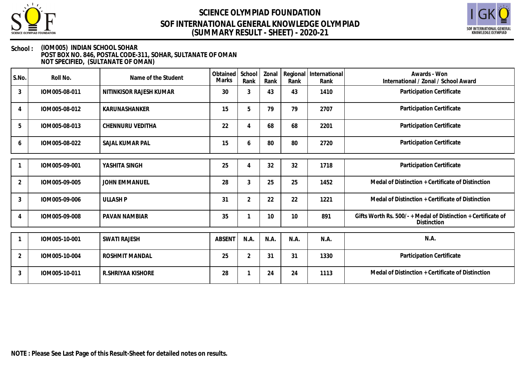



#### **School : (IOM005) INDIAN SCHOOL SOHAR POST BOX NO. 846, POSTAL CODE-311, SOHAR, SULTANATE OF OMAN NOT SPECIFIED, (SULTANATE OF OMAN)**

| S.No.          | Roll No.      | Name of the Student     | Obtained<br>Marks | School<br>Rank | Zonal<br>Rank | Rank | Regional International<br>Rank | Awards - Won<br>International / Zonal / School Award                         |
|----------------|---------------|-------------------------|-------------------|----------------|---------------|------|--------------------------------|------------------------------------------------------------------------------|
| $\mathfrak{Z}$ | IOM005-08-011 | NITINKISOR RAJESH KUMAR | 30                | 3              | 43            | 43   | 1410                           | Participation Certificate                                                    |
| 4              | IOM005-08-012 | KARUNASHANKER           | 15                | 5              | 79            | 79   | 2707                           | Participation Certificate                                                    |
| 5              | IOM005-08-013 | CHENNURU VEDITHA        | 22                | 4              | 68            | 68   | 2201                           | Participation Certificate                                                    |
| 6              | IOM005-08-022 | SAJAL KUMAR PAL         | 15                | 6              | 80            | 80   | 2720                           | Participation Certificate                                                    |
|                |               |                         |                   |                |               |      |                                |                                                                              |
|                | IOM005-09-001 | YASHITA SINGH           | 25                | 4              | 32            | 32   | 1718                           | Participation Certificate                                                    |
| $\overline{2}$ | IOM005-09-005 | <b>JOHN EMMANUEL</b>    | 28                | 3              | 25            | 25   | 1452                           | Medal of Distinction + Certificate of Distinction                            |
| 3              | IOM005-09-006 | <b>ULLASH P</b>         | 31                | 2              | 22            | 22   | 1221                           | Medal of Distinction + Certificate of Distinction                            |
|                | IOM005-09-008 | PAVAN NAMBIAR           | 35                |                | 10            | 10   | 891                            | Gifts Worth Rs. 500/- + Medal of Distinction + Certificate of<br>Distinction |
|                |               |                         |                   |                |               |      |                                |                                                                              |
|                | IOM005-10-001 | <b>SWATI RAJESH</b>     | <b>ABSENT</b>     | N.A.           | N.A.          | N.A. | N.A.                           | N.A.                                                                         |
| $\overline{2}$ | IOM005-10-004 | <b>ROSHMIT MANDAL</b>   | 25                | $\overline{2}$ | 31            | 31   | 1330                           | Participation Certificate                                                    |
| 3              | IOM005-10-011 | R. SHRIYAA KISHORE      | 28                |                | 24            | 24   | 1113                           | Medal of Distinction + Certificate of Distinction                            |